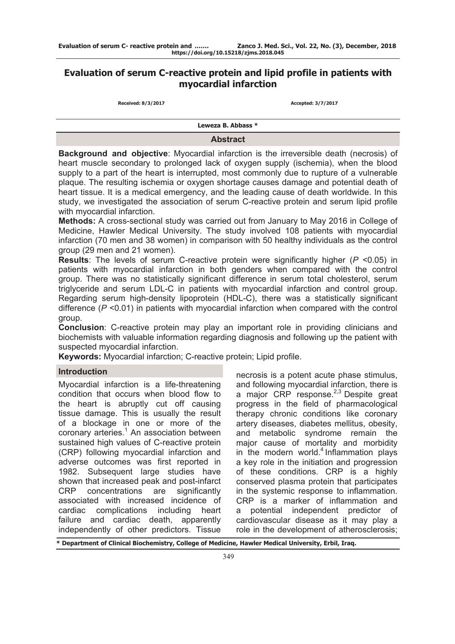# **Evaluation of serum C-reactive protein and lipid profile in patients with myocardial infarction**

| Received: 8/3/2017 |  |
|--------------------|--|
|--------------------|--|

**Received: 8/3/2017 Accepted: 3/7/2017**

**Leweza B. Abbass \***

### **Abstract**

**Background and objective**: Myocardial infarction is the irreversible death (necrosis) of heart muscle secondary to prolonged lack of oxygen supply (ischemia), when the blood supply to a part of the heart is interrupted, most commonly due to rupture of a vulnerable plaque. The resulting ischemia or oxygen shortage causes damage and potential death of heart tissue. It is a medical emergency, and the leading cause of death worldwide. In this study, we investigated the association of serum C-reactive protein and serum lipid profile with myocardial infarction.

**Methods:** A cross-sectional study was carried out from January to May 2016 in College of Medicine, Hawler Medical University. The study involved 108 patients with myocardial infarction (70 men and 38 women) in comparison with 50 healthy individuals as the control group (29 men and 21 women).

**Results**: The levels of serum C-reactive protein were significantly higher (*P* <0.05) in patients with myocardial infarction in both genders when compared with the control group. There was no statistically significant difference in serum total cholesterol, serum triglyceride and serum LDL-C in patients with myocardial infarction and control group. Regarding serum high-density lipoprotein (HDL-C), there was a statistically significant difference (*P* <0.01) in patients with myocardial infarction when compared with the control group.

**Conclusion**: C-reactive protein may play an important role in providing clinicians and biochemists with valuable information regarding diagnosis and following up the patient with suspected myocardial infarction.

**Keywords:** Myocardial infarction; C-reactive protein; Lipid profile.

### **Introduction**

Myocardial infarction is a life-threatening condition that occurs when blood flow to the heart is abruptly cut off causing tissue damage. This is usually the result of a blockage in one or more of the coronary arteries.<sup>1</sup> An association between sustained high values of C-reactive protein (CRP) following myocardial infarction and adverse outcomes was first reported in 1982. Subsequent large studies have shown that increased peak and post-infarct CRP concentrations are significantly associated with increased incidence of cardiac complications including heart failure and cardiac death, apparently independently of other predictors. Tissue

necrosis is a potent acute phase stimulus, and following myocardial infarction, there is a major CRP response.<sup>2,3</sup> Despite great progress in the field of pharmacological therapy chronic conditions like coronary artery diseases, diabetes mellitus, obesity, and metabolic syndrome remain the major cause of mortality and morbidity in the modern world. $4$  Inflammation plays a key role in the initiation and progression of these conditions. CRP is a highly conserved plasma protein that participates in the systemic response to inflammation. CRP is a marker of inflammation and a potential independent predictor of cardiovascular disease as it may play a role in the development of atherosclerosis;

**\* Department of Clinical Biochemistry, College of Medicine, Hawler Medical University, Erbil, Iraq.**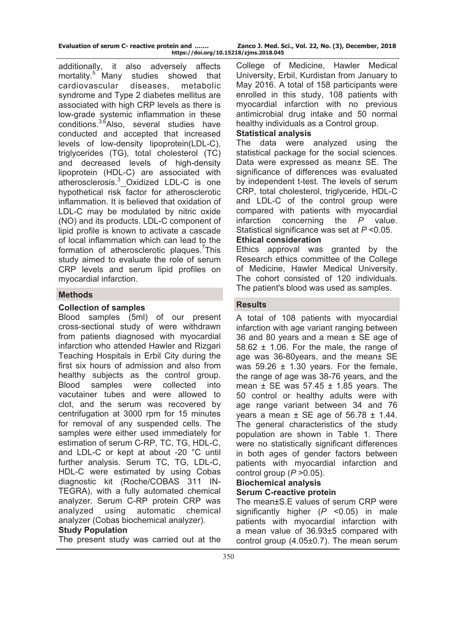| Evaluation of serum C- reactive protein and |  |  |                    |
|---------------------------------------------|--|--|--------------------|
|                                             |  |  | https://doi.org/10 |

additionally, it also adversely affects mortality.<sup>5</sup> Many studies showed that cardiovascular diseases, metabolic syndrome and Type 2 diabetes mellitus are associated with high CRP levels as there is low-grade systemic inflammation in these conditions.<sup>3,6</sup>Also, several studies have conducted and accepted that increased levels of low-density lipoprotein(LDL-C), triglycerides (TG), total cholesterol (TC) and decreased levels of high-density lipoprotein (HDL-C) are associated with atherosclerosis.<sup>3</sup> Oxidized LDL-C is one hypothetical risk factor for atherosclerotic inflammation. It is believed that oxidation of LDL-C may be modulated by nitric oxide (NO) and its products. LDL-C component of lipid profile is known to activate a cascade of local inflammation which can lead to the formation of atherosclerotic plaques.<sup>7</sup>This study aimed to evaluate the role of serum CRP levels and serum lipid profiles on myocardial infarction.

# **Methods**

# **Collection of samples**

Blood samples (5ml) of our present cross-sectional study of were withdrawn from patients diagnosed with myocardial infarction who attended Hawler and Rizgari Teaching Hospitals in Erbil City during the first six hours of admission and also from healthy subjects as the control group. Blood samples were collected into vacutainer tubes and were allowed to clot, and the serum was recovered by centrifugation at 3000 rpm for 15 minutes for removal of any suspended cells. The samples were either used immediately for estimation of serum C-RP, TC, TG, HDL-C, and LDL-C or kept at about -20 °C until further analysis. Serum TC, TG, LDL-C, HDL-C were estimated by using Cobas diagnostic kit (Roche/COBAS 311 IN-TEGRA), with a fully automated chemical analyzer. Serum C-RP protein CRP was analyzed using automatic chemical analyzer (Cobas biochemical analyzer).

### **Study Population**

The present study was carried out at the

College of Medicine, Hawler Medical University, Erbil, Kurdistan from January to May 2016. A total of 158 participants were enrolled in this study, 108 patients with myocardial infarction with no previous antimicrobial drug intake and 50 normal healthy individuals as a Control group.

### **Statistical analysis**

The data were analyzed using the statistical package for the social sciences. Data were expressed as mean± SE. The significance of differences was evaluated by independent t-test. The levels of serum CRP, total cholesterol, triglyceride, HDL-C and LDL-C of the control group were compared with patients with myocardial infarction concerning the *P* value. Statistical significance was set at *P* <0.05. **Ethical consideration** 

Ethics approval was granted by the Research ethics committee of the College of Medicine, Hawler Medical University. The cohort consisted of 120 individuals. The patient's blood was used as samples.

# **Results**

A total of 108 patients with myocardial infarction with age variant ranging between 36 and 80 years and a mean  $\pm$  SE age of  $58.62 \pm 1.06$ . For the male, the range of age was 36-80years, and the mean± SE was  $59.26 \pm 1.30$  years. For the female, the range of age was 38-76 years, and the mean  $\pm$  SE was 57.45  $\pm$  1.85 years. The 50 control or healthy adults were with age range variant between 34 and 76 years a mean  $\pm$  SE age of 56.78  $\pm$  1.44. The general characteristics of the study population are shown in Table 1. There were no statistically significant differences in both ages of gender factors between patients with myocardial infarction and control group (*P* >0.05).

#### **Biochemical analysis Serum C-reactive protein**

The mean±S.E values of serum CRP were significantly higher (*P* <0.05) in male patients with myocardial infarction with a mean value of 36.93±5 compared with control group (4.05±0.7). The mean serum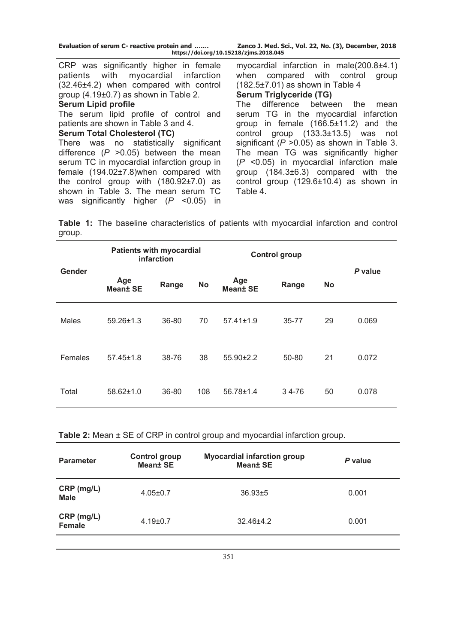| Evaluation of serum C- reactive protein and | Zanco J. Med. Sci., Vol. 22, No. (3), December, 2018 |
|---------------------------------------------|------------------------------------------------------|
| https://doi.org/10.15218/zjms.2018.045      |                                                      |

CRP was significantly higher in female patients with myocardial infarction (32.46±4.2) when compared with control group (4.19±0.7) as shown in Table 2.

# **Serum Lipid profile**

The serum lipid profile of control and patients are shown in Table 3 and 4.

#### **Serum Total Cholesterol (TC)**

There was no statistically significant difference (*P* >0.05) between the mean serum TC in myocardial infarction group in female (194.02±7.8)when compared with the control group with (180.92±7.0) as shown in Table 3. The mean serum TC was significantly higher (*P* <0.05) in

myocardial infarction in male(200.8±4.1) when compared with control group (182.5±7.01) as shown in Table 4

# **Serum Triglyceride (TG)**

The difference between the mean serum TG in the myocardial infarction group in female (166.5±11.2) and the control group (133.3±13.5) was not significant (*P* >0.05) as shown in Table 3. The mean TG was significantly higher (*P* <0.05) in myocardial infarction male group (184.3±6.3) compared with the control group (129.6±10.4) as shown in Table 4.

**Table 1:** The baseline characteristics of patients with myocardial infarction and control group.

|         | <b>Patients with myocardial</b><br>infarction |       |           | <b>Control group</b>   |           |           |         |
|---------|-----------------------------------------------|-------|-----------|------------------------|-----------|-----------|---------|
| Gender  | Age<br><b>Mean± SE</b>                        | Range | <b>No</b> | Age<br><b>Mean± SE</b> | Range     | <b>No</b> | P value |
| Males   | $59.26 \pm 1.3$                               | 36-80 | 70        | $57.41 \pm 1.9$        | $35 - 77$ | 29        | 0.069   |
| Females | $57.45 \pm 1.8$                               | 38-76 | 38        | $55.90 \pm 2.2$        | 50-80     | 21        | 0.072   |
| Total   | $58.62 \pm 1.0$                               | 36-80 | 108       | $56.78 \pm 1.4$        | $34 - 76$ | 50        | 0.078   |

**Table 2:** Mean ± SE of CRP in control group and myocardial infarction group.

| <b>Parameter</b>            | <b>Control group</b><br><b>Meant SE</b> | <b>Myocardial infarction group</b><br><b>Meant SE</b> | P value |
|-----------------------------|-----------------------------------------|-------------------------------------------------------|---------|
| CRP (mg/L)<br><b>Male</b>   | $4.05 \pm 0.7$                          | $36.93 \pm 5$                                         | 0.001   |
| CRP (mg/L)<br><b>Female</b> | $4.19 \pm 0.7$                          | $32.46 \pm 4.2$                                       | 0.001   |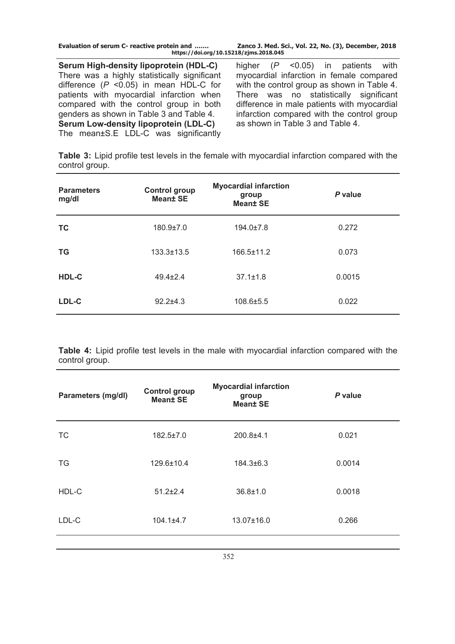**Evaluation of serum C- reactive protein and ……. Zanco J. Med. Sci., Vol. 22, No. (3), December, 2018 https://doi.org/10.15218/zjms.2018.045**

**Serum High-density lipoprotein (HDL-C)** There was a highly statistically significant difference (*P* <0.05) in mean HDL-C for patients with myocardial infarction when compared with the control group in both genders as shown in Table 3 and Table 4. **Serum Low-density lipoprotein (LDL-C)**  The mean±S.E LDL-C was significantly

higher (*P* <0.05) in patients with myocardial infarction in female compared with the control group as shown in Table 4. There was no statistically significant difference in male patients with myocardial infarction compared with the control group as shown in Table 3 and Table 4.

**Table 3:** Lipid profile test levels in the female with myocardial infarction compared with the control group.

| <b>Parameters</b><br>mg/dl | <b>Control group</b><br><b>Mean± SE</b> | <b>Myocardial infarction</b><br>group<br><b>Mean± SE</b> | P value |
|----------------------------|-----------------------------------------|----------------------------------------------------------|---------|
| <b>TC</b>                  | 180.9±7.0                               | $194.0 \pm 7.8$                                          | 0.272   |
| <b>TG</b>                  | $133.3 \pm 13.5$                        | $166.5 \pm 11.2$                                         | 0.073   |
| HDL-C                      | $49.4 \pm 2.4$                          | $37.1 \pm 1.8$                                           | 0.0015  |
| LDL-C                      | $92.2 \pm 4.3$                          | 108.6±5.5                                                | 0.022   |

**Table 4:** Lipid profile test levels in the male with myocardial infarction compared with the control group.

| Parameters (mg/dl) | <b>Control group</b><br><b>Mean± SE</b> | <b>Myocardial infarction</b><br>group<br><b>Mean± SE</b> | P value |
|--------------------|-----------------------------------------|----------------------------------------------------------|---------|
| <b>TC</b>          | $182.5 \pm 7.0$                         | $200.8 + 4.1$                                            | 0.021   |
| <b>TG</b>          | $129.6 \pm 10.4$                        | 184.3±6.3                                                | 0.0014  |
| HDL-C              | $51.2 \pm 2.4$                          | $36.8 \pm 1.0$                                           | 0.0018  |
| LDL-C              | $104.1 \pm 4.7$                         | 13.07±16.0                                               | 0.266   |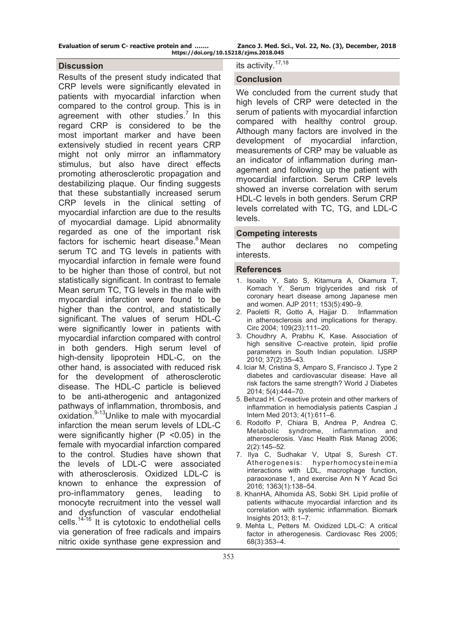**Evaluation of serum C- reactive protein and ……. Zanco J. Med. Sci., Vol. 22, No. (3), December, 2018 https://doi.org/10.15218/zjms.2018.045**

#### **Discussion**

Results of the present study indicated that CRP levels were significantly elevated in patients with myocardial infarction when compared to the control group. This is in agreement with other studies.<sup>7</sup> In this regard CRP is considered to be the most important marker and have been extensively studied in recent years CRP might not only mirror an inflammatory stimulus, but also have direct effects promoting atherosclerotic propagation and destabilizing plaque. Our finding suggests that these substantially increased serum CRP levels in the clinical setting of myocardial infarction are due to the results of myocardial damage. Lipid abnormality regarded as one of the important risk factors for ischemic heart disease.<sup>8</sup> Mean serum TC and TG levels in patients with myocardial infarction in female were found to be higher than those of control, but not statistically significant. In contrast to female Mean serum TC, TG levels in the male with myocardial infarction were found to be higher than the control, and statistically significant. The values of serum HDL-C were significantly lower in patients with myocardial infarction compared with control in both genders. High serum level of high-density lipoprotein HDL-C, on the other hand, is associated with reduced risk for the development of atherosclerotic disease. The HDL-C particle is believed to be anti-atherogenic and antagonized pathways of inflammation, thrombosis, and oxidation.<sup>9-13</sup>Unlike to male with myocardial infarction the mean serum levels of LDL-C were significantly higher  $(P \le 0.05)$  in the female with myocardial infarction compared to the control. Studies have shown that the levels of LDL-C were associated with atherosclerosis. Oxidized LDL-C is known to enhance the expression of pro-inflammatory genes, leading to monocyte recruitment into the vessel wall and dysfunction of vascular endothelial cells. $14-16$  It is cytotoxic to endothelial cells via generation of free radicals and impairs nitric oxide synthase gene expression and

# its activity.17,18

### **Conclusion**

We concluded from the current study that high levels of CRP were detected in the serum of patients with myocardial infarction compared with healthy control group. Although many factors are involved in the development of myocardial infarction, measurements of CRP may be valuable as an indicator of inflammation during management and following up the patient with myocardial infarction. Serum CRP levels showed an inverse correlation with serum HDL-C levels in both genders. Serum CRP levels correlated with TC, TG, and LDL-C levels.

### **Competing interests**

The author declares no competing interests.

#### **References**

- 1. Isoaito Y, Sato S, Kitamura A, Okamura T, Komach Y. Serum triglycerides and risk of coronary heart disease among Japanese men and women. AJP 2011; 153(5):490*–*9.
- 2. Paoletti R, Gotto A, Hajjar D. Inflammation in atherosclerosis and implications for therapy. Circ 2004; 109(23):111*–*20.
- 3. Choudhry A, Prabhu K, Kase. Association of high sensitive C-reactive protein, lipid profile parameters in South Indian population. IJSRP 2010; 37(2):35*–*43.
- 4. [Iciar M](https://www.ncbi.nlm.nih.gov/pubmed/?term=Mart%26%23x000ed%3Bn-Tim%26%23x000f3%3Bn%20I%5BAuthor%5D&cauthor=true&cauthor_uid=25126392), [Cristina S,](https://www.ncbi.nlm.nih.gov/pubmed/?term=Sevillano-Collantes%20C%5BAuthor%5D&cauthor=true&cauthor_uid=25126392) [Amparo S,](https://www.ncbi.nlm.nih.gov/pubmed/?term=Segura-Galindo%20A%5BAuthor%5D&cauthor=true&cauthor_uid=25126392) [Francisco J](https://www.ncbi.nlm.nih.gov/pubmed/?term=del%20Ca%26%23x000f1%3Bizo-G%26%23x000f3%3Bmez%20FJ%5BAuthor%5D&cauthor=true&cauthor_uid=25126392). Type 2 diabetes and cardiovascular disease: Have all risk factors the same strength? [World J Diabetes](https://www.ncbi.nlm.nih.gov/pmc/articles/PMC4127581/) 2014; 5(4):444–70.
- 5. [Behzad H.](https://www.ncbi.nlm.nih.gov/pubmed/?term=Heidari%20B%5BAuthor%5D&cauthor=true&cauthor_uid=24009946) C-reactive protein and other markers of inflammation in hemodialysis patients [Caspian J](https://www.ncbi.nlm.nih.gov/pmc/articles/PMC3762236/)  [Intern Med](https://www.ncbi.nlm.nih.gov/pmc/articles/PMC3762236/) 2013; 4(1):611–6.
- 6. [Rodolfo P,](https://www.ncbi.nlm.nih.gov/pubmed/?term=Paoletti%20R%5BAuthor%5D&cauthor=true&cauthor_uid=17319458) [Chiara B](https://www.ncbi.nlm.nih.gov/pubmed/?term=Bolego%20C%5BAuthor%5D&cauthor=true&cauthor_uid=17319458), [Andrea P](https://www.ncbi.nlm.nih.gov/pubmed/?term=Poli%20A%5BAuthor%5D&cauthor=true&cauthor_uid=17319458), [Andrea C.](https://www.ncbi.nlm.nih.gov/pubmed/?term=Cignarella%20A%5BAuthor%5D&cauthor=true&cauthor_uid=17319458) Metabolic syndrome, inflammation and atherosclerosis. Vasc Health Risk Manag 2006; 2(2):145–52.
- 7. [Ilya C](https://www.ncbi.nlm.nih.gov/pubmed/?term=Chernyavskiy%20I%5BAuthor%5D&cauthor=true&cauthor_uid=26849408), [Sudhakar V](https://www.ncbi.nlm.nih.gov/pubmed/?term=Veeranki%20S%5BAuthor%5D&cauthor=true&cauthor_uid=26849408), [Utpal S](https://www.ncbi.nlm.nih.gov/pubmed/?term=Sen%20U%5BAuthor%5D&cauthor=true&cauthor_uid=26849408), [Suresh CT.](https://www.ncbi.nlm.nih.gov/pubmed/?term=Tyagi%20SC%5BAuthor%5D&cauthor=true&cauthor_uid=26849408) Atherogenesis: hyperhomocysteinemia interactions with LDL, macrophage function, paraoxonase 1, and exercise Ann N Y Acad Sci 2016; 1363(1):138–54.
- 8. KhanHA, Alhomida AS, Sobki SH. Lipid profile of patients withacute myocardial infarction and its correlation with systemic inflammation. Biomark Insights 2013; 8:1–7.
- 9. Mehta L, Petters M. Oxidized LDL-C: A critical factor in atherogenesis. Cardiovasc Res 2005; 68(3):353*–*4.